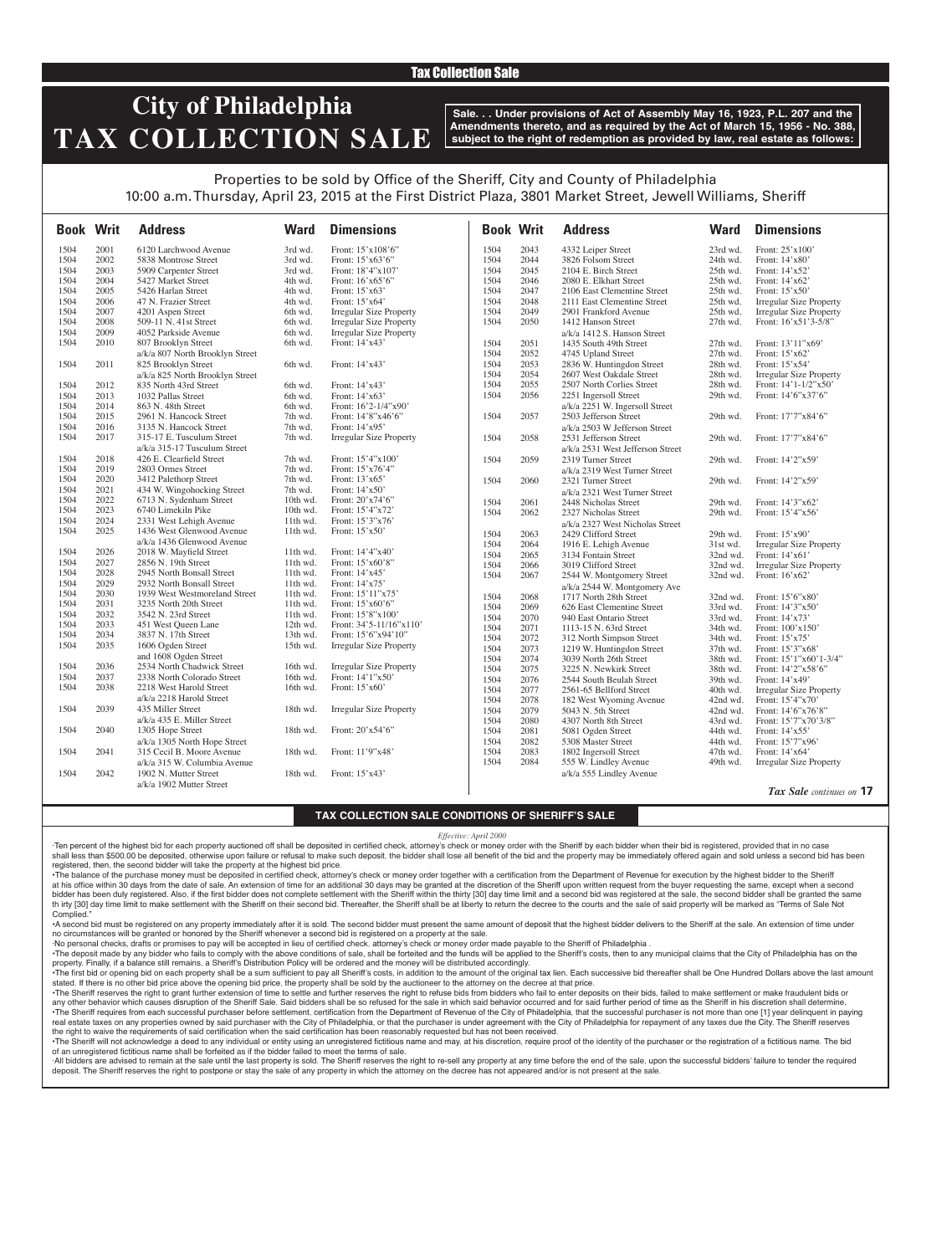### Tax Collection Sale

## **City of Philadelphia TAX COLLECTION SALE**

**Sale. . . Under provisions of Act of Assembly May 16, 1923, P.L. 207 and the Amendments thereto, and as required by the Act of March 15, 1956 - No. 388, subject to the right of redemption as provided by law, real estate as follows:**

## Properties to be sold by Office of the Sheriff, City and County of Philadelphia 10:00 a.m. Thursday, April 23, 2015 at the First District Plaza, 3801 Market Street, Jewell Williams, Sheriff

| <b>Book Writ</b> |      | <b>Address</b>                  | <b>Ward</b> | <b>Dimensions</b>              | <b>Book Writ</b> |      | <b>Address</b>                   | Ward       | <b>Dimensions</b>               |
|------------------|------|---------------------------------|-------------|--------------------------------|------------------|------|----------------------------------|------------|---------------------------------|
| 1504             | 2001 | 6120 Larchwood Avenue           | 3rd wd.     | Front: 15'x108'6"              | 1504             | 2043 | 4332 Leiper Street               | 23rd wd.   | Front: 25'x100'                 |
| 1504             | 2002 | 5838 Montrose Street            | 3rd wd.     | Front: 15'x63'6"               | 1504             | 2044 | 3826 Folsom Street               | 24th wd.   | Front: 14'x80'                  |
| 1504             | 2003 | 5909 Carpenter Street           | 3rd wd.     | Front: 18'4"x107'              | 1504             | 2045 | 2104 E. Birch Street             | 25th wd.   | Front: 14'x52'                  |
| 1504             | 2004 | 5427 Market Street              | 4th wd.     | Front: $16'x65'6"$             | 1504             | 2046 | 2080 E. Elkhart Street           | 25th wd.   | Front: 14'x62'                  |
| 1504             | 2005 | 5426 Harlan Street              | 4th wd.     | Front: 15'x63'                 | 1504             | 2047 | 2106 East Clementine Street      | 25th wd.   | Front: 15'x50'                  |
| 1504             | 2006 | 47 N. Frazier Street            | 4th wd.     | Front: 15'x64'                 | 1504             | 2048 | 2111 East Clementine Street      | 25th wd.   | <b>Irregular Size Property</b>  |
| 1504             | 2007 | 4201 Aspen Street               | 6th wd.     | <b>Irregular Size Property</b> | 1504             | 2049 | 2901 Frankford Avenue            | 25th wd.   | <b>Irregular Size Property</b>  |
| 1504             | 2008 | 509-11 N. 41st Street           | 6th wd.     | <b>Irregular Size Property</b> | 1504             | 2050 | 1412 Hanson Street               | 27th wd.   | Front: 16'x51'3-5/8"            |
| 1504             | 2009 | 4052 Parkside Avenue            | 6th wd.     | Irregular Size Property        |                  |      | a/k/a 1412 S. Hanson Street      |            |                                 |
| 1504             | 2010 | 807 Brooklyn Street             | 6th wd.     | Front: 14'x43'                 | 1504             | 2051 | 1435 South 49th Street           | 27th wd.   | Front: 13'11"x69'               |
|                  |      | a/k/a 807 North Brooklyn Street |             |                                | 1504             | 2052 | 4745 Upland Street               | $27th$ wd. | Front: 15'x62'                  |
| 1504             | 2011 | 825 Brooklyn Street             | 6th wd.     | Front: 14'x43'                 | 1504             | 2053 | 2836 W. Huntingdon Street        | 28th wd.   | Front: 15'x54'                  |
|                  |      | a/k/a 825 North Brooklyn Street |             |                                | 1504             | 2054 | 2607 West Oakdale Street         | 28th wd.   | <b>Irregular Size Property</b>  |
| 1504             | 2012 | 835 North 43rd Street           | 6th wd.     | Front: 14'x43'                 | 1504             | 2055 | 2507 North Corlies Street        | 28th wd.   | Front: 14'1-1/2"x50'            |
| 1504             | 2013 | 1032 Pallas Street              | 6th wd.     | Front: 14'x63'                 | 1504             | 2056 | 2251 Ingersoll Street            | 29th wd.   | Front: 14'6"x37'6"              |
| 1504             | 2014 | 863 N. 48th Street              | 6th wd.     | Front: 16'2-1/4"x90"           |                  |      | a/k/a 2251 W. Ingersoll Street   |            |                                 |
| 1504             | 2015 | 2961 N. Hancock Street          | 7th wd.     | Front: 14'8"x46'6"             | 1504             | 2057 | 2503 Jefferson Street            | 29th wd.   | Front: 17'7"x84'6"              |
| 1504             | 2016 | 3135 N. Hancock Street          | 7th wd.     | Front: 14'x95'                 |                  |      | a/k/a 2503 W Jefferson Street    |            |                                 |
| 1504             | 2017 | 315-17 E. Tusculum Street       | 7th wd.     | <b>Irregular Size Property</b> | 1504             | 2058 | 2531 Jefferson Street            | 29th wd.   | Front: 17'7"x84'6"              |
|                  |      | a/k/a 315-17 Tusculum Street    |             |                                |                  |      | a/k/a 2531 West Jefferson Street |            |                                 |
| 1504             | 2018 | 426 E. Clearfield Street        | 7th wd.     | Front: 15'4"x100'              | 1504             | 2059 | 2319 Turner Street               | 29th wd.   | Front: 14'2"x59'                |
| 1504             | 2019 | 2803 Ormes Street               | 7th wd.     | Front: $15'x76'4"$             |                  |      | a/k/a 2319 West Turner Street    |            |                                 |
| 1504             | 2020 | 3412 Palethorp Street           | 7th wd.     | Front: 13'x65'                 | 1504             | 2060 | 2321 Turner Street               | 29th wd.   | Front: 14'2"x59'                |
| 1504             | 2021 | 434 W. Wingohocking Street      | 7th wd.     | Front: 14'x50'                 |                  |      | a/k/a 2321 West Turner Street    |            |                                 |
| 1504             | 2022 | 6713 N. Sydenham Street         | 10th wd.    | Front: 20'x74'6"               | 1504             | 2061 | 2448 Nicholas Street             | 29th wd.   | Front: 14'3"x62"                |
| 1504             | 2023 | 6740 Limekiln Pike              | 10th wd.    | Front: 15'4"x72'               | 1504             | 2062 | 2327 Nicholas Street             | 29th wd.   | Front: 15'4"x56'                |
| 1504             | 2024 | 2331 West Lehigh Avenue         | $11th$ wd.  | Front: 15'3"x76'               |                  |      | a/k/a 2327 West Nicholas Street  |            |                                 |
| 1504             | 2025 | 1436 West Glenwood Avenue       | 11th wd.    | Front: 15'x50'                 | 1504             | 2063 | 2429 Clifford Street             | 29th wd.   | Front: 15'x90'                  |
|                  |      | a/k/a 1436 Glenwood Avenue      |             |                                | 1504             | 2064 | 1916 E. Lehigh Avenue            | 31st wd.   | <b>Irregular Size Property</b>  |
| 1504             | 2026 | 2018 W. Mayfield Street         | 11th wd.    | Front: 14'4"x40"               | 1504             | 2065 | 3134 Fontain Street              | 32nd wd.   | Front: $14'x61'$                |
| 1504             | 2027 | 2856 N. 19th Street             | 11th wd.    | Front: 15'x60'8"               | 1504             | 2066 | 3019 Clifford Street             | 32nd wd.   | <b>Irregular Size Property</b>  |
| 1504             | 2028 | 2945 North Bonsall Street       | $11th$ wd.  | Front: 14'x45'                 | 1504             | 2067 | 2544 W. Montgomery Street        | 32nd wd.   | Front: 16'x62'                  |
| 1504             | 2029 | 2932 North Bonsall Street       | 11th wd.    | Front: 14'x75'                 |                  |      | a/k/a 2544 W. Montgomery Ave     |            |                                 |
| 1504             | 2030 | 1939 West Westmoreland Street   | $11th$ wd.  | Front: 15'11"x75'              | 1504             | 2068 | 1717 North 28th Street           | 32nd wd.   | Front: 15'6"x80'                |
| 1504             | 2031 | 3235 North 20th Street          | $11th$ wd.  | Front: 15'x60'6"               | 1504             | 2069 | 626 East Clementine Street       | 33rd wd.   | Front: 14'3"x50"                |
| 1504             | 2032 | 3542 N. 23rd Street             | 11th wd.    | Front: 15'8"x100'              | 1504             | 2070 | 940 East Ontario Street          | 33rd wd.   | Front: 14'x73'                  |
| 1504             | 2033 | 451 West Queen Lane             | 12th wd.    | Front: 34'5-11/16"x110"        | 1504             | 2071 | 1113-15 N. 63rd Street           | 34th wd.   | Front: 100'x150'                |
| 1504             | 2034 | 3837 N. 17th Street             | 13th wd.    | Front: 15'6"x94'10"            | 1504             | 2072 | 312 North Simpson Street         | 34th wd.   | Front: 15'x75'                  |
| 1504             | 2035 | 1606 Ogden Street               | 15th wd.    | <b>Irregular Size Property</b> | 1504             | 2073 | 1219 W. Huntingdon Street        | 37th wd.   | Front: 15'3"x68"                |
|                  |      | and 1608 Ogden Street           |             |                                | 1504             | 2074 | 3039 North 26th Street           | 38th wd.   | Front: 15'1"x60'1-3/4"          |
| 1504             | 2036 | 2534 North Chadwick Street      | 16th wd.    | <b>Irregular Size Property</b> | 1504             | 2075 | 3225 N. Newkirk Street           | 38th wd.   | Front: 14'2"x58'6"              |
| 1504             | 2037 | 2338 North Colorado Street      | 16th wd.    | Front: 14'1"x50'               | 1504             | 2076 | 2544 South Beulah Street         | 39th wd.   | Front: 14'x49'                  |
| 1504             | 2038 | 2218 West Harold Street         | 16th wd.    | Front: 15'x60'                 | 1504             | 2077 | 2561-65 Bellford Street          | 40th wd.   | <b>Irregular Size Property</b>  |
|                  |      | a/k/a 2218 Harold Street        |             |                                | 1504             | 2078 | 182 West Wyoming Avenue          | 42nd wd.   | Front: 15'4"x70'                |
| 1504             | 2039 | 435 Miller Street               | 18th wd.    | <b>Irregular Size Property</b> | 1504             | 2079 | 5043 N. 5th Street               | 42nd wd.   | Front: 14'6"x76'8"              |
|                  |      | a/k/a 435 E. Miller Street      |             |                                | 1504             | 2080 | 4307 North 8th Street            | 43rd wd.   | Front: 15'7"x70'3/8"            |
| 1504             | 2040 | 1305 Hope Street                | 18th wd.    | Front: 20'x54'6"               | 1504             | 2081 | 5081 Ogden Street                | 44th wd.   | Front: 14'x55'                  |
|                  |      | a/k/a 1305 North Hope Street    |             |                                | 1504             | 2082 | 5308 Master Street               | 44th wd.   | Front: 15'7"x96'                |
| 1504             | 2041 | 315 Cecil B. Moore Avenue       | 18th wd.    | Front: 11'9"x48'               | 1504             | 2083 | 1802 Ingersoll Street            | 47th wd.   | Front: 14'x64'                  |
|                  |      | a/k/a 315 W. Columbia Avenue    |             |                                | 1504             | 2084 | 555 W. Lindley Avenue            | 49th wd.   | <b>Irregular Size Property</b>  |
| 1504             | 2042 | 1902 N. Mutter Street           | $18th$ wd.  | Front: $15'x43'$               |                  |      | a/k/a 555 Lindley Avenue         |            |                                 |
|                  |      | a/k/a 1902 Mutter Street        |             |                                |                  |      |                                  |            |                                 |
|                  |      |                                 |             |                                |                  |      |                                  |            | <b>Tax Sale</b> continues on 17 |

*Tax Sale continues on* **17**

### **TAX COLLECTION SALE CONDITIONS OF SHERIFF'S SALE**

#### *Effective: April 2000*

·Ten percent of the highest bid for each property auctioned off shall be deposited in certified check, attorney's check or money order with the Sheriff by each bidder when their bid is registered, provided that in no case shall less than \$500.00 be deposited, otherwise upon failure or refusal to make such deposit, the bidder shall lose all benefit of the bid and the property may be immediately offered again and sold unless a second bid has registered, then, the second bidder will take the property at the highest bid price.

•The balance of the purchase money must be deposited in certified check, attorney's check or money order together with a certification from the Department of Revenue for execution by the highest bidder to the Sheriff at his office within 30 days from the date of sale. An extension of time for an additional 30 days may be granted at the discretion of the Sheriff upon written request from the buyer requesting the same, except when a second bidder has been duly registered. Also, if the first bidder does not complete settlement with the Sheriff within the thirty [30] day time limit and a second bid was registered at the sale, the second bidder shall be granted th irty [30] day time limit to make settlement with the Sheriff on their second bid. Thereafter, the Sheriff shall be at liberty to return the decree to the courts and the sale of said property will be marked as "Terms of Complied.

•A second bid must be registered on any property immediately after it is sold. The second bidder must present the same amount of deposit that the highest bidder delivers to the Sheriff at the sale. An extension of time under no circumstances will be granted or honored by the Sheriff whenever a second bid is registered on a property at the sale.

·No personal checks, drafts or promises to pay will be accepted in lieu of certified check, attorney's check or money order made payable to the Sheriff of Philadelphia .

. The deposit made by any bidder who fails to comply with the above conditions of sale, shall be forteited and the funds will be applied to the Sheriff's costs, then to any municipal claims that the City of Philadelphia ha property. Finally, if a balance still remains, a Sheriff's Distribution Policy will be ordered and the money will be distributed accordingly.

The first bid or opening bid on each property shall be a sum sufficient to pay all Sheriff's costs, in addition to the amount of the original tax lien. Each successive bid thereafter shall be One Hundred Dollars above the stated. If there is no other bid price above the opening bid price, the property shall be sold by the auctioneer to the attorney on the decree at that price.

·The Sheriff reserves the right to grant further extension of time to settle and further reserves the right to refuse bids from bidders who fail to enter deposits on their bids, failed to make settlement or make fraudulent any other behavior which causes disruption of the Sheriff Sale. Said bidders shall be so refused for the sale in which said behavior occurred and for said further period of time as the Sheriff in his discretion shall deter •The Sheriff requires from each successful purchaser before settlement, certification from the Department of Revenue of the City of Philadelphia, that the successful purchaser is not more than one [1] year delinquent in pa real estate taxes on any properties owned by said purchaser with the City of Philadelphia, or that the purchaser is under agreement with the City of Philadelphia for repayment of any taxes due the City. The Sheriff reserve the right to waive the requirements of said certification when the said certification has been reasonably requested but has not been received.

The Sheriff will not acknowledge a deed to any individual or entity using an unregistered fictitious name and may, at his discretion, require proof of the identity of the purchaser or the registration of a fictitious name. of an unregistered fictitious name shall be forfeited as if the bidder failed to meet the terms of sale.

All bidders are advised to remain at the sale until the last property is sold. The Sheriff reserves the right to re-sell any property at any time before the end of the sale, upon the successful bidders' failure to tender t deposit. The Sheriff reserves the right to postpone or stay the sale of any property in which the attorney on the decree has not appeared and/or is not present at the sale.